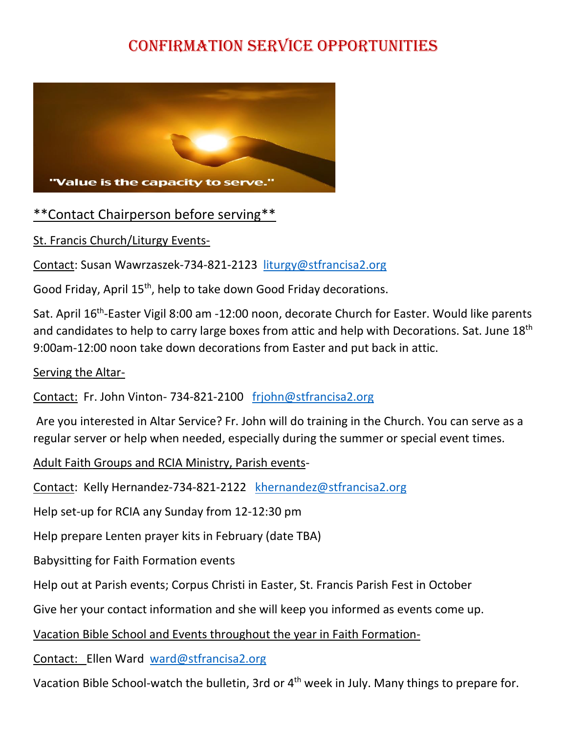## Confirmation Service Opportunities



## [\\*\\*Conta](http://www.the-vital-edge.com/being-of-service/)ct Chairperson befo[re se](https://creativecommons.org/licenses/by/3.0/)rving\*\*

St. Francis Church/Liturgy Events-

Contact: Susan Wawrzaszek-734-821-2123 [liturgy@stfrancisa2.org](mailto:liturgy@stfrancisa2.org)

Good Friday, April 15<sup>th</sup>, help to take down Good Friday decorations.

Sat. April 16<sup>th</sup>-Easter Vigil 8:00 am -12:00 noon, decorate Church for Easter. Would like parents and candidates to help to carry large boxes from attic and help with Decorations. Sat. June  $18<sup>th</sup>$ 9:00am-12:00 noon take down decorations from Easter and put back in attic.

## Serving the Altar-

Contact: Fr. John Vinton- 734-821-2100 [frjohn@stfrancisa2.org](mailto:frjohn@stfrancisa2.org)

Are you interested in Altar Service? Fr. John will do training in the Church. You can serve as a regular server or help when needed, especially during the summer or special event times.

Adult Faith Groups and RCIA Ministry, Parish events-

Contact: Kelly Hernandez-734-821-2122 [khernandez@stfrancisa2.org](mailto:khernandez@stfrancisa2.org)

Help set-up for RCIA any Sunday from 12-12:30 pm

Help prepare Lenten prayer kits in February (date TBA)

Babysitting for Faith Formation events

Help out at Parish events; Corpus Christi in Easter, St. Francis Parish Fest in October

Give her your contact information and she will keep you informed as events come up.

Vacation Bible School and Events throughout the year in Faith Formation-

Contact: Ellen Ward [ward@stfrancisa2.org](mailto:ward@stfrancisa2.org)

Vacation Bible School-watch the bulletin, 3rd or 4<sup>th</sup> week in July. Many things to prepare for.